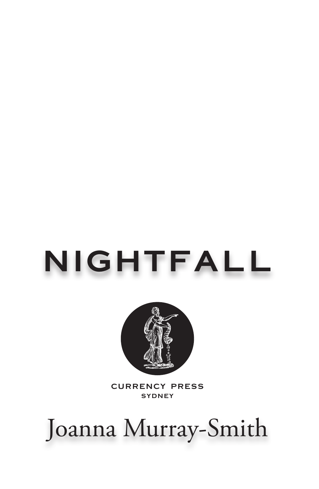# **nightfall**



**currency press sydney**

## Joanna Murray-Smith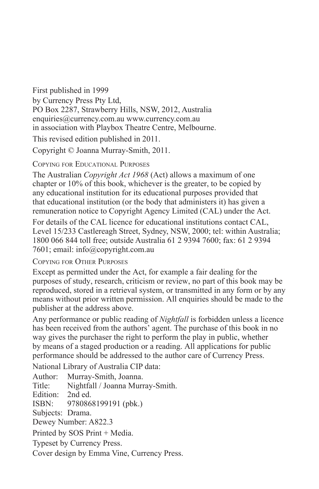First published in 1999 by Currency Press Pty Ltd, PO Box 2287, Strawberry Hills, NSW, 2012, Australia enquiries@currency.com.au www.currency.com.au in association with Playbox Theatre Centre, Melbourne.

This revised edition published in 2011.

Copyright © Joanna Murray-Smith, 2011.

Copying for Educational Purposes

The Australian *Copyright Act 1968* (Act) allows a maximum of one chapter or 10% of this book, whichever is the greater, to be copied by any educational institution for its educational purposes provided that that educational institution (or the body that administers it) has given a remuneration notice to Copyright Agency Limited (CAL) under the Act.

For details of the CAL licence for educational institutions contact CAL, Level 15/233 Castlereagh Street, Sydney, NSW, 2000; tel: within Australia; 1800 066 844 toll free; outside Australia 61 2 9394 7600; fax: 61 2 9394 7601; email: info@copyright.com.au

Copying for Other Purposes

Except as permitted under the Act, for example a fair dealing for the purposes of study, research, criticism or review, no part of this book may be reproduced, stored in a retrieval system, or transmitted in any form or by any means without prior written permission. All enquiries should be made to the publisher at the address above.

Any performance or public reading of *Nightfall* is forbidden unless a licence has been received from the authors' agent. The purchase of this book in no way gives the purchaser the right to perform the play in public, whether by means of a staged production or a reading. All applications for public performance should be addressed to the author care of Currency Press.

National Library of Australia CIP data:

Author: Murray-Smith, Joanna. Title: Nightfall / Joanna Murray-Smith. Edition: 2nd ed. ISBN: 9780868199191 (pbk.) Subjects: Drama. Dewey Number: A822.3 Printed by SOS Print + Media. Typeset by Currency Press. Cover design by Emma Vine, Currency Press.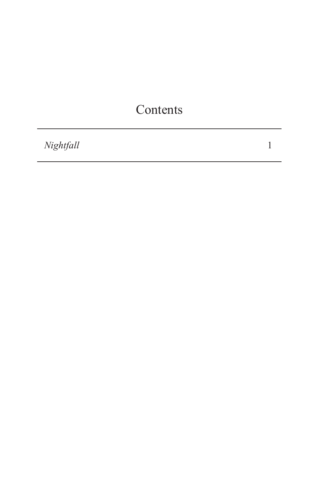## Contents

*Nightfall*

1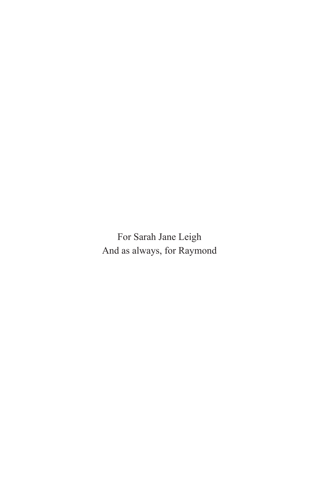For Sarah Jane Leigh And as always, for Raymond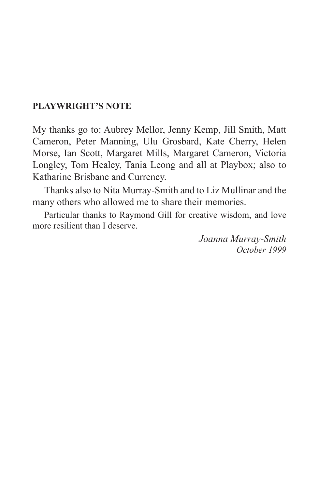#### **PLAYWRIGHT'S NOTE**

My thanks go to: Aubrey Mellor, Jenny Kemp, Jill Smith, Matt Cameron, Peter Manning, Ulu Grosbard, Kate Cherry, Helen Morse, Ian Scott, Margaret Mills, Margaret Cameron, Victoria Longley, Tom Healey, Tania Leong and all at Playbox; also to Katharine Brisbane and Currency.

Thanks also to Nita Murray-Smith and to Liz Mullinar and the many others who allowed me to share their memories.

Particular thanks to Raymond Gill for creative wisdom, and love more resilient than I deserve.

> *Joanna Murray-Smith October 1999*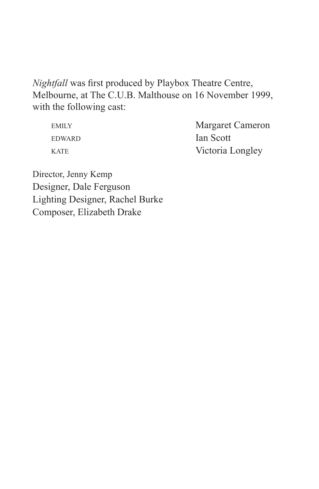*Nightfall* was first produced by Playbox Theatre Centre, Melbourne, at The C.U.B. Malthouse on 16 November 1999, with the following cast:

| EMILY.        | <b>Margaret Cameron</b> |
|---------------|-------------------------|
| <b>EDWARD</b> | Ian Scott               |
| <b>KATE</b>   | Victoria Longley        |

Director, Jenny Kemp Designer, Dale Ferguson Lighting Designer, Rachel Burke Composer, Elizabeth Drake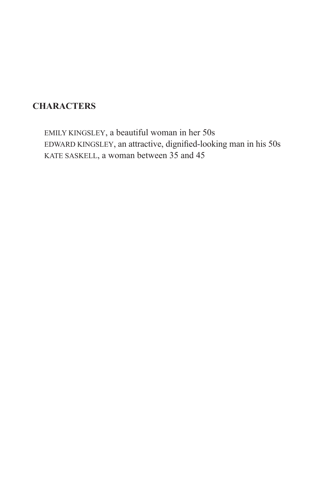### **CHARACTERS**

emily kingsley, a beautiful woman in her 50s edward kingsley, an attractive, dignified-looking man in his 50s kate saskell, a woman between 35 and 45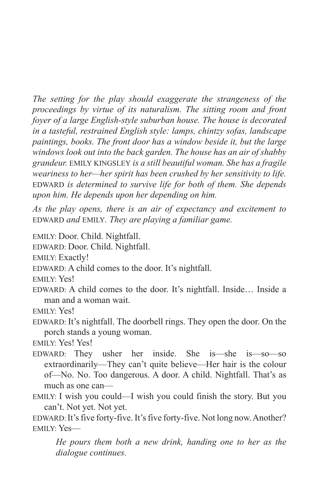*The setting for the play should exaggerate the strangeness of the proceedings by virtue of its naturalism. The sitting room and front foyer of a large English-style suburban house. The house is decorated in a tasteful, restrained English style: lamps, chintzy sofas, landscape paintings, books. The front door has a window beside it, but the large windows look out into the back garden. The house has an air of shabby grandeur.* emily kingsley *is a still beautiful woman. She has a fragile weariness to her—her spirit has been crushed by her sensitivity to life.*  EDWARD is determined to survive life for both of them. She depends *upon him. He depends upon her depending on him.* 

*As the play opens, there is an air of expectancy and excitement to*  edward *and* emily*. They are playing a familiar game.*

emily: Door. Child. Nightfall.

edward: Door. Child. Nightfall.

emily: Exactly!

EDWARD: A child comes to the door. It's nightfall.

emily: Yes!

EDWARD: A child comes to the door. It's nightfall. Inside... Inside a man and a woman wait.

emily: Yes!

EDWARD: It's nightfall. The doorbell rings. They open the door. On the porch stands a young woman.

emily: Yes! Yes!

 $EDWARD:$  They usher her inside. She is—she is—so—so extraordinarily—They can't quite believe—Her hair is the colour of—No. No. Too dangerous. A door. A child. Nightfall. That's as much as one can—

emily: I wish you could—I wish you could finish the story. But you can't. Not yet. Not yet.

EDWARD: It's five forty-five. It's five forty-five. Not long now. Another? emily: Yes—

*He pours them both a new drink, handing one to her as the dialogue continues.*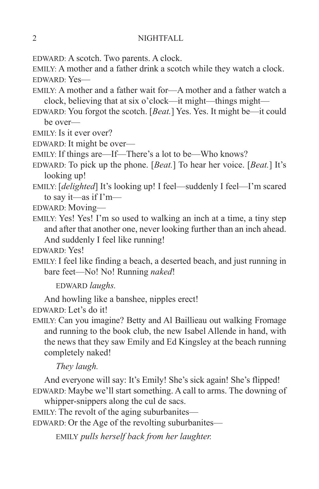edward: A scotch. Two parents. A clock.

emily: A mother and a father drink a scotch while they watch a clock. edward: Yes—

- emily: A mother and a father wait for—A mother and a father watch a clock, believing that at six o'clock—it might—things might—
- edward: You forgot the scotch. [*Beat.*] Yes. Yes. It might be—it could be over—
- emily: Is it ever over?
- edward: It might be over—
- emily: If things are—If—There's a lot to be—Who knows?
- edward: To pick up the phone. [*Beat.*] To hear her voice. [*Beat.*] It's looking up!
- emily: [*delighted*] It's looking up! I feel—suddenly I feel—I'm scared to say it—as if I'm—
- edward: Moving—
- emily: Yes! Yes! I'm so used to walking an inch at a time, a tiny step and after that another one, never looking further than an inch ahead. And suddenly I feel like running!
- edward: Yes!
- emily: I feel like finding a beach, a deserted beach, and just running in bare feet—No! No! Running *naked*!

edward *laughs.*

And howling like a banshee, nipples erect!

EDWARD: Let's do it!

emily: Can you imagine? Betty and Al Baillieau out walking Fromage and running to the book club, the new Isabel Allende in hand, with the news that they saw Emily and Ed Kingsley at the beach running completely naked!

*They laugh.*

And everyone will say: It's Emily! She's sick again! She's flipped! EDWARD: Maybe we'll start something. A call to arms. The downing of

whipper-snippers along the cul de sacs.

emily: The revolt of the aging suburbanites—

EDWARD: Or the Age of the revolting suburbanites—

emily *pulls herself back from her laughter.*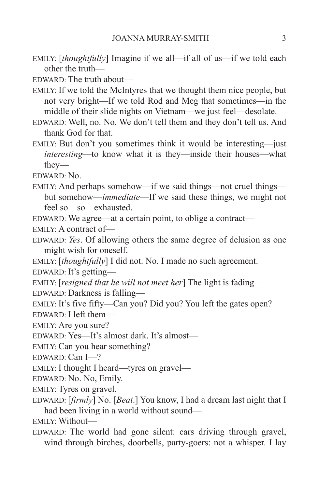emily: [*thoughtfully*] Imagine if we all—if all of us—if we told each other the truth—

 $EDWARD$  The truth about—

emily: If we told the McIntyres that we thought them nice people, but not very bright—If we told Rod and Meg that sometimes—in the middle of their slide nights on Vietnam—we just feel—desolate.

- EDWARD: Well, no. No. We don't tell them and they don't tell us. And thank God for that.
- emily: But don't you sometimes think it would be interesting—just *interesting*—to know what it is they—inside their houses—what they—

edward: No.

emily: And perhaps somehow—if we said things—not cruel things but somehow—*immediate*—If we said these things, we might not feel so—so—exhausted.

EDWARD: We agree—at a certain point, to oblige a contract—

emily: A contract of—

EDWARD: *Yes*. Of allowing others the same degree of delusion as one might wish for oneself.

emily: [*thoughtfully*] I did not. No. I made no such agreement.

edward: It's getting—

emily: [*resigned that he will not meet her*] The light is fading—

EDWARD: Darkness is falling—

emily: It's five fifty—Can you? Did you? You left the gates open?

edward: I left them—

emily: Are you sure?

edward: Yes—It's almost dark. It's almost—

emily: Can you hear something?

edward: Can I—?

emily: I thought I heard—tyres on gravel—

edward: No. No, Emily.

emily: Tyres on gravel.

edward: [*firmly*] No. [*Beat*.] You know, I had a dream last night that I had been living in a world without sound—

emily: Without—

EDWARD: The world had gone silent: cars driving through gravel, wind through birches, doorbells, party-goers: not a whisper. I lay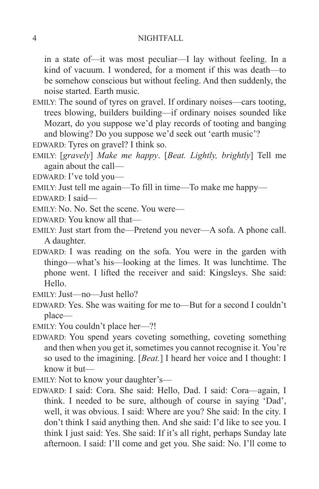in a state of—it was most peculiar—I lay without feeling. In a kind of vacuum. I wondered, for a moment if this was death—to be somehow conscious but without feeling. And then suddenly, the noise started. Earth music.

- emily: The sound of tyres on gravel. If ordinary noises—cars tooting, trees blowing, builders building—if ordinary noises sounded like Mozart, do you suppose we'd play records of tooting and banging and blowing? Do you suppose we'd seek out 'earth music'?
- edward: Tyres on gravel? I think so.
- emily: [*gravely*] *Make me happy*. [*Beat. Lightly, brightly*] Tell me again about the call—
- EDWARD: I've told you—
- emily: Just tell me again—To fill in time—To make me happy—
- edward: I said—
- EMILY: No. No. Set the scene. You were—
- edward: You know all that—
- emily: Just start from the—Pretend you never—A sofa. A phone call. A daughter.
- EDWARD: I was reading on the sofa. You were in the garden with thingo—what's his—looking at the limes. It was lunchtime. The phone went. I lifted the receiver and said: Kingsleys. She said: Hello.
- emily: Just—no—Just hello?
- edward: Yes. She was waiting for me to—But for a second I couldn't place—
- emily: You couldn't place her—?!
- EDWARD: You spend years coveting something, coveting something and then when you get it, sometimes you cannot recognise it. You're so used to the imagining. [*Beat.*] I heard her voice and I thought: I know it but—
- emily: Not to know your daughter's—
- edward: I said: Cora. She said: Hello, Dad. I said: Cora—again, I think. I needed to be sure, although of course in saying 'Dad', well, it was obvious. I said: Where are you? She said: In the city. I don't think I said anything then. And she said: I'd like to see you. I think I just said: Yes. She said: If it's all right, perhaps Sunday late afternoon. I said: I'll come and get you. She said: No. I'll come to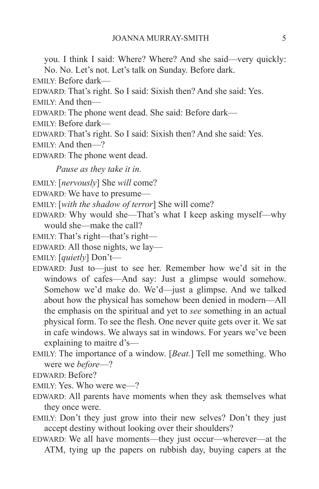you. I think I said: Where? Where? And she said—very quickly:

No. No. Let's not. Let's talk on Sunday. Before dark.

emily: Before dark—

EDWARD: That's right. So I said: Sixish then? And she said: Yes.

emily: And then—

EDWARD: The phone went dead. She said: Before dark—

emily: Before dark—

EDWARD: That's right. So I said: Sixish then? And she said: Yes.

emily: And then—?

EDWARD: The phone went dead.

*Pause as they take it in.*

emily: [*nervously*] She *will* come?

edward: We have to presume—

emily: [*with the shadow of terror*] She will come?

- EDWARD: Why would she—That's what I keep asking myself—why would she—make the call?
- emily: That's right—that's right—
- EDWARD: All those nights, we lay—

emily: [*quietly*] Don't—

- edward: Just to—just to see her. Remember how we'd sit in the windows of cafes—And say: Just a glimpse would somehow. Somehow we'd make do. We'd—just a glimpse. And we talked about how the physical has somehow been denied in modern—All the emphasis on the spiritual and yet to *see* something in an actual physical form. To see the flesh. One never quite gets over it. We sat in cafe windows. We always sat in windows. For years we've been explaining to maitre d's—
- emily: The importance of a window. [*Beat.*] Tell me something. Who were we *before*—?

edward: Before?

emily: Yes. Who were we—?

- EDWARD: All parents have moments when they ask themselves what they once were.
- emily: Don't they just grow into their new selves? Don't they just accept destiny without looking over their shoulders?
- EDWARD: We all have moments—they just occur—wherever—at the ATM, tying up the papers on rubbish day, buying capers at the